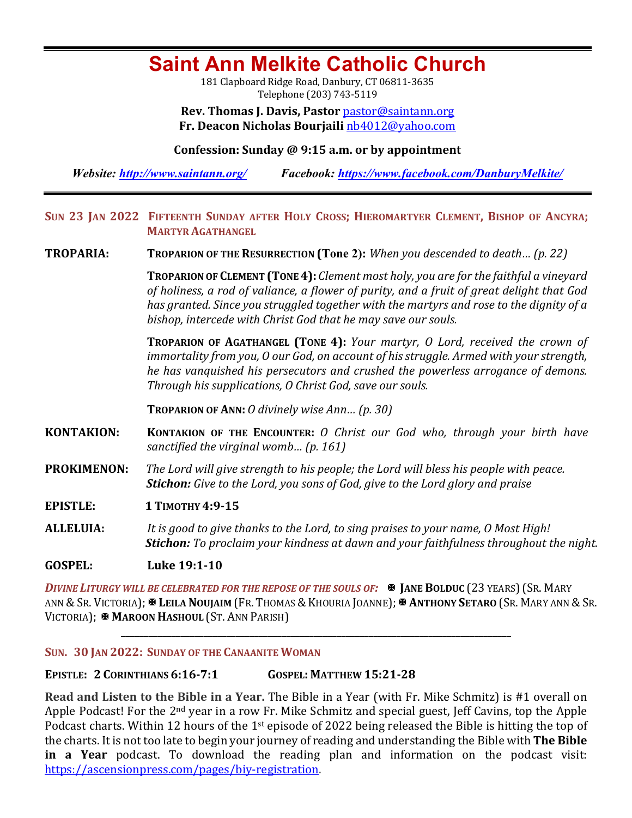# **Saint Ann Melkite Catholic Church**

181 Clapboard Ridge Road, Danbury, CT 06811-3635 Telephone (203) 743-5119

**Rev. Thomas J. Davis, Pastor** pastor@saintann.org **Fr. Deacon Nicholas Bourjaili** nb4012@yahoo.com

#### **Confession: Sunday @ 9:15 a.m. or by appointment**

*Website: http://www.saintann.org/ Facebook: https://www.facebook.com/DanburyMelkite/* 

### SUN 23 JAN 2022 FIFTEENTH SUNDAY AFTER HOLY CROSS; HIEROMARTYER CLEMENT, BISHOP OF ANCYRA; **MARTYR AGATHANGEL**

**TROPARIA: TROPARION OF THE RESURRECTION (Tone 2):** *When you descended to death... (p. 22)* 

**TROPARION OF CLEMENT (TONE 4):** *Clement most holy, you are for the faithful a vineyard* of holiness, a rod of valiance, a flower of purity, and a fruit of great delight that God has granted. Since you struggled together with the martyrs and rose to the dignity of a bishop, intercede with Christ God that he may save our souls.

**TROPARION OF AGATHANGEL (TONE 4):** *Your martyr, O Lord, received the crown of immortality from you, O our God, on account of his struggle. Armed with your strength, he has vanquished his persecutors and crushed the powerless arrogance of demons. Through his supplications, O Christ God, save our souls.* 

**TROPARION OF ANN:** *O* divinely wise Ann... (p. 30)

- **KONTAKION: KONTAKION OF THE ENCOUNTER:** O Christ our God who, through your birth have *sanctified the virginal womb... (p. 161)*
- **PROKIMENON:** The Lord will give strength to his people; the Lord will bless his people with peace. *Stichon: Give to the Lord, you sons of God, give to the Lord glory and praise*
- **EPISTLE: <sup>1</sup> TIMOTHY 4:9-15**
- **ALLELUIA:** It is good to give thanks to the Lord, to sing praises to your name, O Most High! *Stichon:* To proclaim your kindness at dawn and your faithfulness throughout the night.

**GOSPEL:** Luke 19:1-10

*DIVINE LITURGY WILL BE CELEBRATED FOR THE REPOSE OF THE SOULS OF:* <sup>★</sup> JANE BOLDUC (23 YEARS) (SR. MARY ANN & SR. VICTORIA); **E LEILA NOUJAIM** (FR. THOMAS & KHOURIA JOANNE); **E ANTHONY SETARO** (SR. MARY ANN & SR. VICTORIA); **W MAROON HASHOUL** (ST. ANN PARISH)

**\_\_\_\_\_\_\_\_\_\_\_\_\_\_\_\_\_\_\_\_\_\_\_\_\_\_\_\_\_\_\_\_\_\_\_\_\_\_\_\_\_\_\_\_\_\_\_\_\_\_\_\_\_\_\_\_\_\_\_\_\_\_\_\_\_\_\_\_\_\_\_\_\_\_\_\_\_\_\_\_\_\_\_\_\_**

SUN. 30 JAN 2022: SUNDAY OF THE CANAANITE WOMAN

**EPISTLE: 2 CORINTHIANS 6:16-7:1 GOSPEL: MATTHEW 15:21-28**

**Read and Listen to the Bible in a Year.** The Bible in a Year (with Fr. Mike Schmitz) is #1 overall on Apple Podcast! For the  $2<sup>nd</sup>$  year in a row Fr. Mike Schmitz and special guest, Jeff Cavins, top the Apple Podcast charts. Within 12 hours of the 1<sup>st</sup> episode of 2022 being released the Bible is hitting the top of the charts. It is not too late to begin your journey of reading and understanding the Bible with **The Bible in a Year** podcast. To download the reading plan and information on the podcast visit: https://ascensionpress.com/pages/biy-registration.